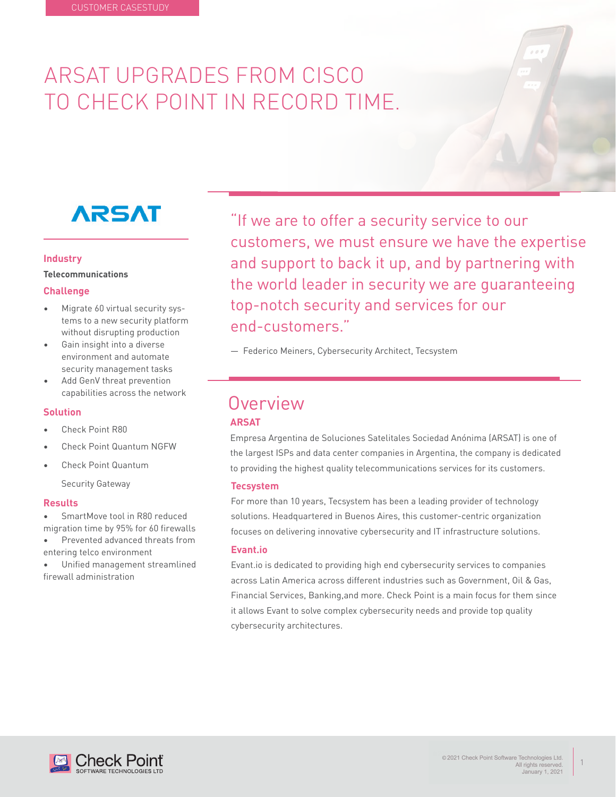# ARSAT UPGRADES FROM CISCO TO CHECK POINT IN RECORD TIME.

# **ARSAT**

#### **Industry**

**Telecommunications**

#### **Challenge**

- Migrate 60 virtual security systems to a new security platform without disrupting production
- Gain insight into a diverse environment and automate security management tasks
- Add GenV threat prevention capabilities across the network

#### **Solution**

- Check Point R80
- Check Point Quantum NGFW
- Check Point Quantum

Security Gateway

#### **Results**

- SmartMove tool in R80 reduced migration time by 95% for 60 firewalls
- Prevented advanced threats from entering telco environment
- Unified management streamlined firewall administration

"If we are to offer a security service to our customers, we must ensure we have the expertise and support to back it up, and by partnering with the world leader in security we are guaranteeing top-notch security and services for our end-customers."

— Federico Meiners, Cybersecurity Architect, Tecsystem

## **Overview**

#### **ARSAT**

Empresa Argentina de Soluciones Satelitales Sociedad Anónima (ARSAT) is one of the largest ISPs and data center companies in Argentina, the company is dedicated to providing the highest quality telecommunications services for its customers.

#### **Tecsystem**

For more than 10 years, Tecsystem has been a leading provider of technology solutions. Headquartered in Buenos Aires, this customer-centric organization focuses on delivering innovative cybersecurity and IT infrastructure solutions.

#### **Evant.io**

Evant.io is dedicated to providing high end cybersecurity services to companies across Latin America across different industries such as Government, Oil & Gas, Financial Services, Banking,and more. Check Point is a main focus for them since it allows Evant to solve complex cybersecurity needs and provide top quality cybersecurity architectures.



1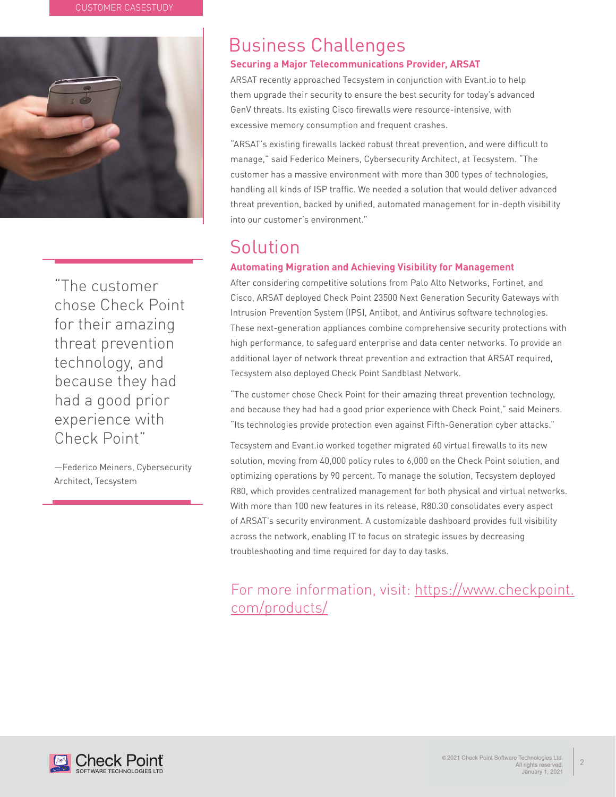

"The customer chose Check Point for their amazing threat prevention technology, and because they had had a good prior experience with Check Point"

—Federico Meiners, Cybersecurity Architect, Tecsystem

## Business Challenges

#### **Securing a Major Telecommunications Provider, ARSAT**

ARSAT recently approached Tecsystem in conjunction with Evant.io to help them upgrade their security to ensure the best security for today's advanced GenV threats. Its existing Cisco firewalls were resource-intensive, with excessive memory consumption and frequent crashes.

"ARSAT's existing firewalls lacked robust threat prevention, and were difficult to manage," said Federico Meiners, Cybersecurity Architect, at Tecsystem. "The customer has a massive environment with more than 300 types of technologies, handling all kinds of ISP traffic. We needed a solution that would deliver advanced threat prevention, backed by unified, automated management for in-depth visibility into our customer's environment."

## Solution

#### **Automating Migration and Achieving Visibility for Management**

After considering competitive solutions from Palo Alto Networks, Fortinet, and Cisco, ARSAT deployed Check Point 23500 Next Generation Security Gateways with Intrusion Prevention System (IPS), Antibot, and Antivirus software technologies. These next-generation appliances combine comprehensive security protections with high performance, to safeguard enterprise and data center networks. To provide an additional layer of network threat prevention and extraction that ARSAT required, Tecsystem also deployed Check Point Sandblast Network.

"The customer chose Check Point for their amazing threat prevention technology, and because they had had a good prior experience with Check Point," said Meiners. "Its technologies provide protection even against Fifth-Generation cyber attacks."

Tecsystem and Evant.io worked together migrated 60 virtual firewalls to its new solution, moving from 40,000 policy rules to 6,000 on the Check Point solution, and optimizing operations by 90 percent. To manage the solution, Tecsystem deployed R80, which provides centralized management for both physical and virtual networks. With more than 100 new features in its release, R80.30 consolidates every aspect of ARSAT's security environment. A customizable dashboard provides full visibility across the network, enabling IT to focus on strategic issues by decreasing troubleshooting and time required for day to day tasks.

### For more information, visit: https://www.checkpoint. com/products/



2